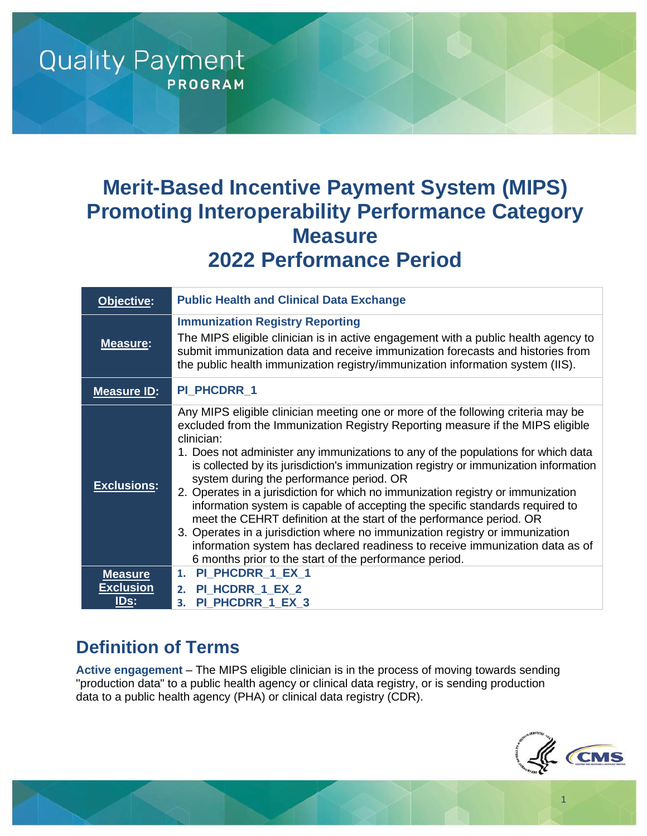# **Merit-Based Incentive Payment System (MIPS) Promoting Interoperability Performance Category Measure 2022 Performance Period**

| Objective:                      | <b>Public Health and Clinical Data Exchange</b>                                                                                                                                                                                                                                                                                                                                                                                                                                                                                                                                                                                                                                                                                                                                                                                                                                  |
|---------------------------------|----------------------------------------------------------------------------------------------------------------------------------------------------------------------------------------------------------------------------------------------------------------------------------------------------------------------------------------------------------------------------------------------------------------------------------------------------------------------------------------------------------------------------------------------------------------------------------------------------------------------------------------------------------------------------------------------------------------------------------------------------------------------------------------------------------------------------------------------------------------------------------|
| <b>Measure:</b>                 | <b>Immunization Registry Reporting</b><br>The MIPS eligible clinician is in active engagement with a public health agency to<br>submit immunization data and receive immunization forecasts and histories from<br>the public health immunization registry/immunization information system (IIS).                                                                                                                                                                                                                                                                                                                                                                                                                                                                                                                                                                                 |
| <b>Measure ID:</b>              | <b>PI PHCDRR 1</b>                                                                                                                                                                                                                                                                                                                                                                                                                                                                                                                                                                                                                                                                                                                                                                                                                                                               |
| <b>Exclusions:</b>              | Any MIPS eligible clinician meeting one or more of the following criteria may be<br>excluded from the Immunization Registry Reporting measure if the MIPS eligible<br>clinician:<br>1. Does not administer any immunizations to any of the populations for which data<br>is collected by its jurisdiction's immunization registry or immunization information<br>system during the performance period. OR<br>2. Operates in a jurisdiction for which no immunization registry or immunization<br>information system is capable of accepting the specific standards required to<br>meet the CEHRT definition at the start of the performance period. OR<br>3. Operates in a jurisdiction where no immunization registry or immunization<br>information system has declared readiness to receive immunization data as of<br>6 months prior to the start of the performance period. |
| <b>Measure</b>                  | PI_PHCDRR_1_EX_1<br>1.                                                                                                                                                                                                                                                                                                                                                                                                                                                                                                                                                                                                                                                                                                                                                                                                                                                           |
| <b>Exclusion</b><br><u>IDs:</u> | PI_HCDRR_1_EX_2<br>2.<br>PI_PHCDRR_1_EX_3<br>3.                                                                                                                                                                                                                                                                                                                                                                                                                                                                                                                                                                                                                                                                                                                                                                                                                                  |

## **Definition of Terms**

**Quality Payment** 

**PROGRAM** 

**Active engagement** – The MIPS eligible clinician is in the process of moving towards sending "production data" to a public health agency or clinical data registry, or is sending production data to a public health agency (PHA) or clinical data registry (CDR).



1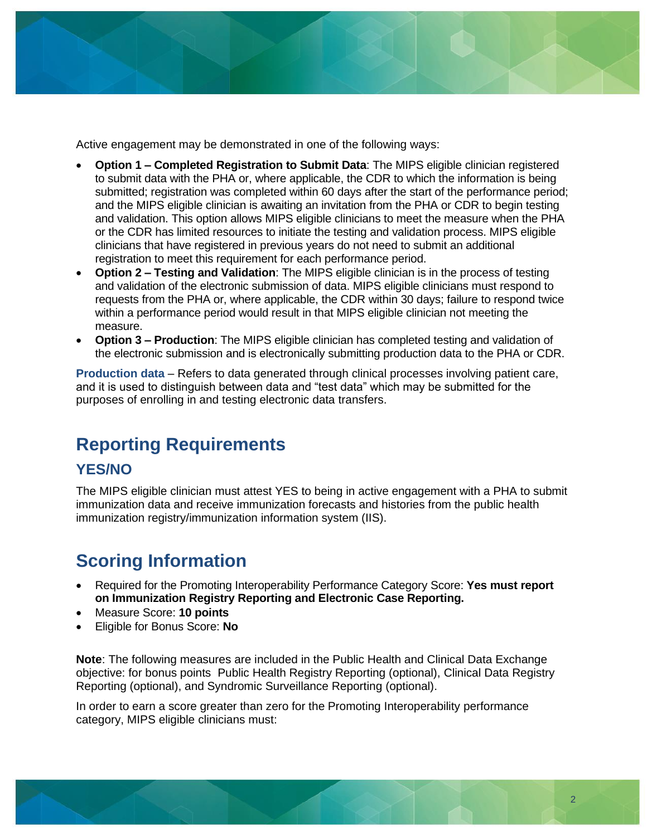

Active engagement may be demonstrated in one of the following ways:

- **Option 1 – Completed Registration to Submit Data**: The MIPS eligible clinician registered to submit data with the PHA or, where applicable, the CDR to which the information is being submitted; registration was completed within 60 days after the start of the performance period; and the MIPS eligible clinician is awaiting an invitation from the PHA or CDR to begin testing and validation. This option allows MIPS eligible clinicians to meet the measure when the PHA or the CDR has limited resources to initiate the testing and validation process. MIPS eligible clinicians that have registered in previous years do not need to submit an additional registration to meet this requirement for each performance period.
- **Option 2 – Testing and Validation**: The MIPS eligible clinician is in the process of testing and validation of the electronic submission of data. MIPS eligible clinicians must respond to requests from the PHA or, where applicable, the CDR within 30 days; failure to respond twice within a performance period would result in that MIPS eligible clinician not meeting the measure.
- **Option 3 – Production**: The MIPS eligible clinician has completed testing and validation of the electronic submission and is electronically submitting production data to the PHA or CDR.

**Production data** – Refers to data generated through clinical processes involving patient care, and it is used to distinguish between data and "test data" which may be submitted for the purposes of enrolling in and testing electronic data transfers.

## **Reporting Requirements**

#### **YES/NO**

The MIPS eligible clinician must attest YES to being in active engagement with a PHA to submit immunization data and receive immunization forecasts and histories from the public health immunization registry/immunization information system (IIS).

## **Scoring Information**

- Required for the Promoting Interoperability Performance Category Score: **Yes must report on Immunization Registry Reporting and Electronic Case Reporting.**
- Measure Score: **10 points**
- Eligible for Bonus Score: **No**

**Note**: The following measures are included in the Public Health and Clinical Data Exchange objective: for bonus points Public Health Registry Reporting (optional), Clinical Data Registry Reporting (optional), and Syndromic Surveillance Reporting (optional).

In order to earn a score greater than zero for the Promoting Interoperability performance category, MIPS eligible clinicians must: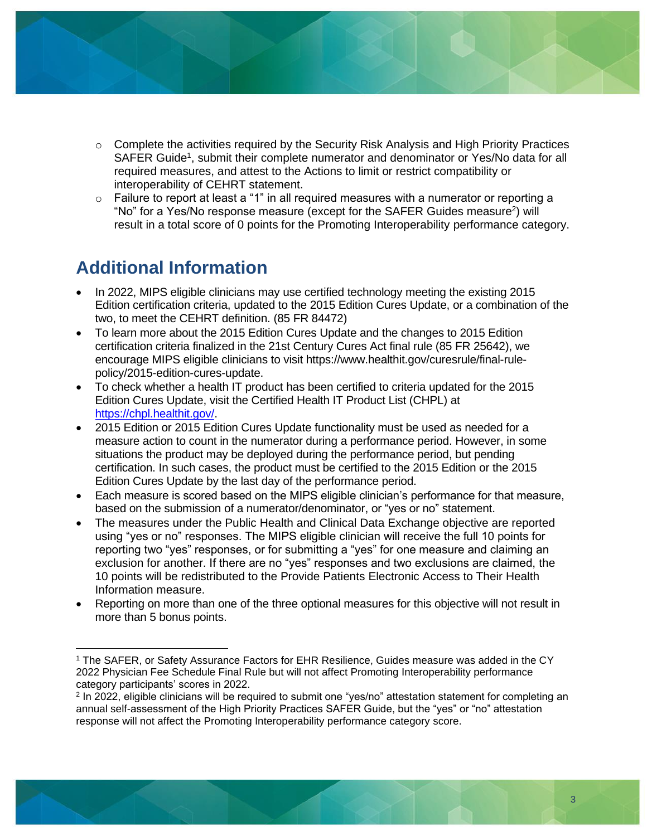

- $\circ$  Complete the activities required by the Security Risk Analysis and High Priority Practices SAFER Guide<sup>1</sup>, submit their complete numerator and denominator or Yes/No data for all required measures, and attest to the Actions to limit or restrict compatibility or interoperability of CEHRT statement.
- $\circ$  Failure to report at least a "1" in all required measures with a numerator or reporting a "No" for a Yes/No response measure (except for the SAFER Guides measure<sup>2</sup>) will result in a total score of 0 points for the Promoting Interoperability performance category.

## **Additional Information**

- In 2022, MIPS eligible clinicians may use certified technology meeting the existing 2015 Edition certification criteria, updated to the 2015 Edition Cures Update, or a combination of the two, to meet the CEHRT definition. (85 FR 84472)
- To learn more about the 2015 Edition Cures Update and the changes to 2015 Edition certification criteria finalized in the 21st Century Cures Act final rule (85 FR 25642), we encourage MIPS eligible clinicians to visit https://www.healthit.gov/curesrule/final-rulepolicy/2015-edition-cures-update.
- To check whether a health IT product has been certified to criteria updated for the 2015 Edition Cures Update, visit the Certified Health IT Product List (CHPL) at [https://chpl.healthit.gov/.](https://chpl.healthit.gov/)
- 2015 Edition or 2015 Edition Cures Update functionality must be used as needed for a measure action to count in the numerator during a performance period. However, in some situations the product may be deployed during the performance period, but pending certification. In such cases, the product must be certified to the 2015 Edition or the 2015 Edition Cures Update by the last day of the performance period.
- Each measure is scored based on the MIPS eligible clinician's performance for that measure, based on the submission of a numerator/denominator, or "yes or no" statement.
- The measures under the Public Health and Clinical Data Exchange objective are reported using "yes or no" responses. The MIPS eligible clinician will receive the full 10 points for reporting two "yes" responses, or for submitting a "yes" for one measure and claiming an exclusion for another. If there are no "yes" responses and two exclusions are claimed, the 10 points will be redistributed to the Provide Patients Electronic Access to Their Health Information measure.
- Reporting on more than one of the three optional measures for this objective will not result in more than 5 bonus points.

<sup>1</sup> The SAFER, or Safety Assurance Factors for EHR Resilience, Guides measure was added in the CY 2022 Physician Fee Schedule Final Rule but will not affect Promoting Interoperability performance category participants' scores in 2022.

<sup>2</sup> In 2022, eligible clinicians will be required to submit one "yes/no" attestation statement for completing an annual self-assessment of the High Priority Practices SAFER Guide, but the "yes" or "no" attestation response will not affect the Promoting Interoperability performance category score.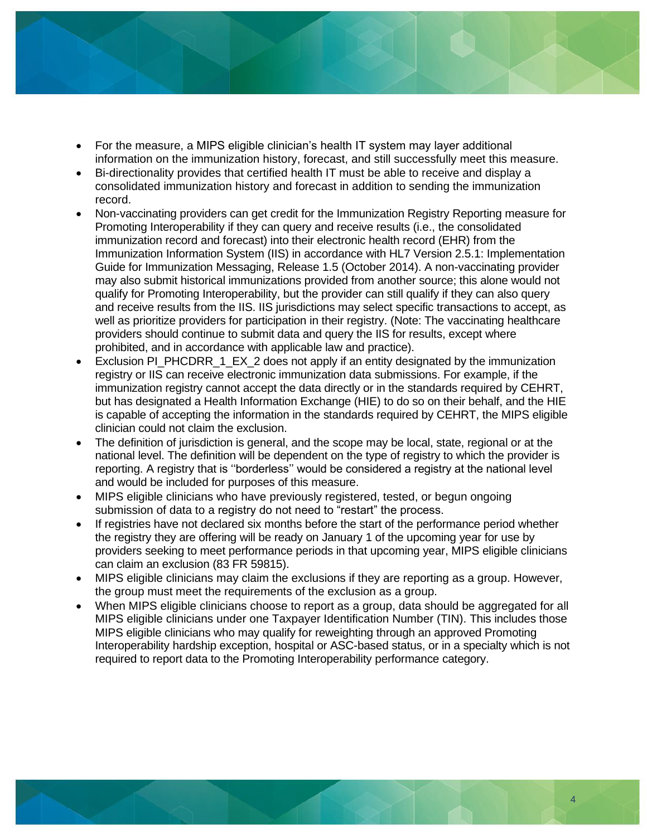

- For the measure, a MIPS eligible clinician's health IT system may layer additional information on the immunization history, forecast, and still successfully meet this measure.
- Bi-directionality provides that certified health IT must be able to receive and display a consolidated immunization history and forecast in addition to sending the immunization record.
- Non-vaccinating providers can get credit for the Immunization Registry Reporting measure for Promoting Interoperability if they can query and receive results (i.e., the consolidated immunization record and forecast) into their electronic health record (EHR) from the Immunization Information System (IIS) in accordance with HL7 Version 2.5.1: Implementation Guide for Immunization Messaging, Release 1.5 (October 2014). A non-vaccinating provider may also submit historical immunizations provided from another source; this alone would not qualify for Promoting Interoperability, but the provider can still qualify if they can also query and receive results from the IIS. IIS jurisdictions may select specific transactions to accept, as well as prioritize providers for participation in their registry. (Note: The vaccinating healthcare providers should continue to submit data and query the IIS for results, except where prohibited, and in accordance with applicable law and practice).
- Exclusion PI\_PHCDRR\_1\_EX\_2 does not apply if an entity designated by the immunization registry or IIS can receive electronic immunization data submissions. For example, if the immunization registry cannot accept the data directly or in the standards required by CEHRT, but has designated a Health Information Exchange (HIE) to do so on their behalf, and the HIE is capable of accepting the information in the standards required by CEHRT, the MIPS eligible clinician could not claim the exclusion.
- The definition of jurisdiction is general, and the scope may be local, state, regional or at the national level. The definition will be dependent on the type of registry to which the provider is reporting. A registry that is ''borderless'' would be considered a registry at the national level and would be included for purposes of this measure.
- MIPS eligible clinicians who have previously registered, tested, or begun ongoing submission of data to a registry do not need to "restart" the process.
- If registries have not declared six months before the start of the performance period whether the registry they are offering will be ready on January 1 of the upcoming year for use by providers seeking to meet performance periods in that upcoming year, MIPS eligible clinicians can claim an exclusion (83 FR 59815).
- MIPS eligible clinicians may claim the exclusions if they are reporting as a group. However, the group must meet the requirements of the exclusion as a group.
- When MIPS eligible clinicians choose to report as a group, data should be aggregated for all MIPS eligible clinicians under one Taxpayer Identification Number (TIN). This includes those MIPS eligible clinicians who may qualify for reweighting through an approved Promoting Interoperability hardship exception, hospital or ASC-based status, or in a specialty which is not required to report data to the Promoting Interoperability performance category.